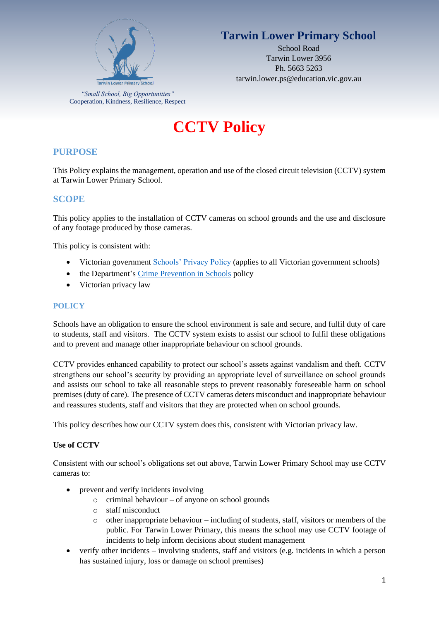

# **Tarwin Lower Primary School**

School Road Tarwin Lower 3956 Ph. 5663 5263 tarwin.lower.ps@education.vic.gov.au

*"Small School, Big Opportunities"* Cooperation, Kindness, Resilience, Respect

# **CCTV Policy**

## **PURPOSE**

This Policy explains the management, operation and use of the closed circuit television (CCTV) system at Tarwin Lower Primary School.

## **SCOPE**

This policy applies to the installation of CCTV cameras on school grounds and the use and disclosure of any footage produced by those cameras.

This policy is consistent with:

- Victorian government [Schools' Privacy Policy](https://www.education.vic.gov.au/Pages/schoolsprivacypolicy.aspx) (applies to all Victorian government schools)
- the Department's [Crime Prevention in Schools](https://www2.education.vic.gov.au/pal/crime-prevention-schools/policy) policy
- Victorian privacy law

#### **POLICY**

Schools have an obligation to ensure the school environment is safe and secure, and fulfil duty of care to students, staff and visitors. The CCTV system exists to assist our school to fulfil these obligations and to prevent and manage other inappropriate behaviour on school grounds.

CCTV provides enhanced capability to protect our school's assets against vandalism and theft. CCTV strengthens our school's security by providing an appropriate level of surveillance on school grounds and assists our school to take all reasonable steps to prevent reasonably foreseeable harm on school premises (duty of care). The presence of CCTV cameras deters misconduct and inappropriate behaviour and reassures students, staff and visitors that they are protected when on school grounds.

This policy describes how our CCTV system does this, consistent with Victorian privacy law.

#### **Use of CCTV**

Consistent with our school's obligations set out above, Tarwin Lower Primary School may use CCTV cameras to:

- prevent and verify incidents involving
	- o criminal behaviour of anyone on school grounds
	- o staff misconduct
	- o other inappropriate behaviour including of students, staff, visitors or members of the public. For Tarwin Lower Primary, this means the school may use CCTV footage of incidents to help inform decisions about student management
- verify other incidents involving students, staff and visitors (e.g. incidents in which a person has sustained injury, loss or damage on school premises)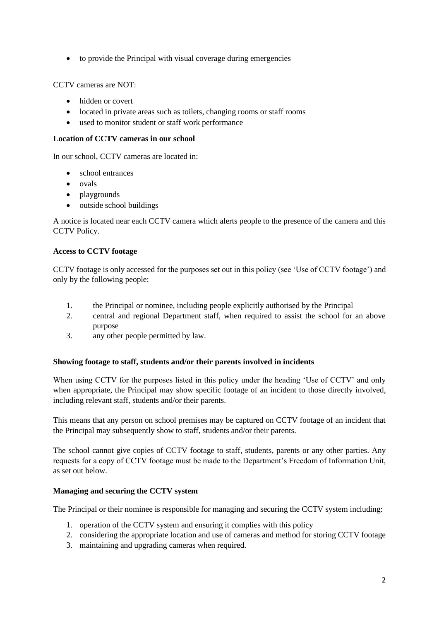• to provide the Principal with visual coverage during emergencies

CCTV cameras are NOT:

- hidden or covert
- located in private areas such as toilets, changing rooms or staff rooms
- used to monitor student or staff work performance

#### **Location of CCTV cameras in our school**

In our school, CCTV cameras are located in:

- school entrances
- ovals
- playgrounds
- outside school buildings

A notice is located near each CCTV camera which alerts people to the presence of the camera and this CCTV Policy.

#### **Access to CCTV footage**

CCTV footage is only accessed for the purposes set out in this policy (see 'Use of CCTV footage') and only by the following people:

- 1. the Principal or nominee, including people explicitly authorised by the Principal
- 2. central and regional Department staff, when required to assist the school for an above purpose
- 3. any other people permitted by law.

#### **Showing footage to staff, students and/or their parents involved in incidents**

When using CCTV for the purposes listed in this policy under the heading 'Use of CCTV' and only when appropriate, the Principal may show specific footage of an incident to those directly involved, including relevant staff, students and/or their parents.

This means that any person on school premises may be captured on CCTV footage of an incident that the Principal may subsequently show to staff, students and/or their parents.

The school cannot give copies of CCTV footage to staff, students, parents or any other parties. Any requests for a copy of CCTV footage must be made to the Department's Freedom of Information Unit, as set out below.

#### **Managing and securing the CCTV system**

The Principal or their nominee is responsible for managing and securing the CCTV system including:

- 1. operation of the CCTV system and ensuring it complies with this policy
- 2. considering the appropriate location and use of cameras and method for storing CCTV footage
- 3. maintaining and upgrading cameras when required.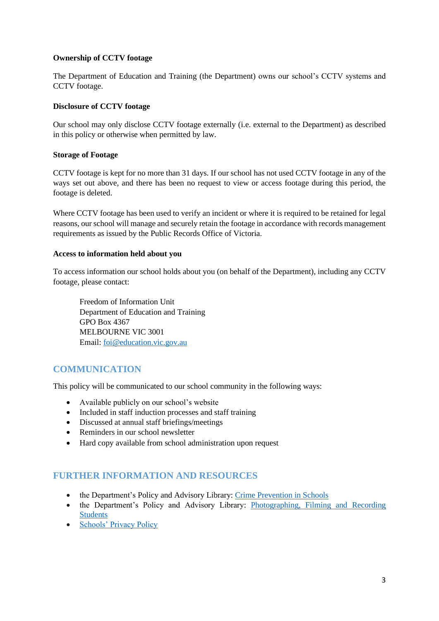#### **Ownership of CCTV footage**

The Department of Education and Training (the Department) owns our school's CCTV systems and CCTV footage.

#### **Disclosure of CCTV footage**

Our school may only disclose CCTV footage externally (i.e. external to the Department) as described in this policy or otherwise when permitted by law.

#### **Storage of Footage**

CCTV footage is kept for no more than 31 days. If our school has not used CCTV footage in any of the ways set out above, and there has been no request to view or access footage during this period, the footage is deleted.

Where CCTV footage has been used to verify an incident or where it is required to be retained for legal reasons, our school will manage and securely retain the footage in accordance with records management requirements as issued by the Public Records Office of Victoria.

#### **Access to information held about you**

To access information our school holds about you (on behalf of the Department), including any CCTV footage, please contact:

Freedom of Information Unit Department of Education and Training GPO Box 4367 MELBOURNE VIC 3001 Email: [foi@education.vic.gov.au](mailto:foi@education.vic.gov.au)

## **COMMUNICATION**

This policy will be communicated to our school community in the following ways:

- Available publicly on our school's website
- Included in staff induction processes and staff training
- Discussed at annual staff briefings/meetings
- Reminders in our school newsletter
- Hard copy available from school administration upon request

## **FURTHER INFORMATION AND RESOURCES**

- the Department's Policy and Advisory Library: [Crime Prevention in Schools](https://www2.education.vic.gov.au/pal/crime-prevention-schools/policy)
- the Department's Policy and Advisory Library: Photographing, Filming and Recording [Students](https://www2.education.vic.gov.au/pal/photographing-students/policy)
- [Schools' Privacy Policy](https://www.education.vic.gov.au/Pages/schoolsprivacypolicy.aspx)